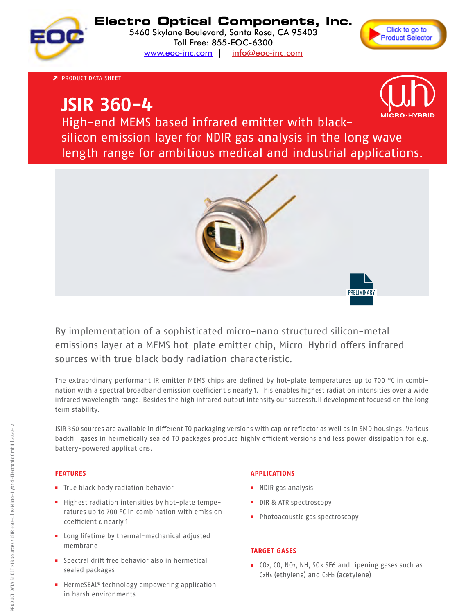

# **Electro Optical Components, Inc.**

5460 Skylane Boulevard, Santa Rosa, CA 95403 Toll Free: 855-EOC-6300 [www.eoc-inc.com](http://www.eoc-inc.com) | [info@eoc-inc.com](mailto:info%40eoc-inc.com?subject=info%20request%20from%20PDF)



High-end MEMS based infrared emitter with black- PRODUCT DATA SHEET

# sincon emission layer for NDIR gas analysis in the long wave  $\left(\begin{array}{c} \bullet \end{array}\right)$ length range for ambitious medical and industrial applications. **JSIR 360-4**



High-end MEMS based infrared emitter with blacksilicon emission layer for NDIR gas analysis in the long wave length range for ambitious medical and industrial applications.



By implementation of a sophisticated micro-nano structured silicon-metal emissions layer at a MEMS hot-plate emitter chip, Micro-Hybrid offers infrared sources with true black body radiation characteristic.

The extraordinary performant IR emitter MEMS chips are defined by hot-plate temperatures up to 700 °C in combination with a spectral broadband emission coefficient  $\varepsilon$  nearly 1. This enables highest radiation intensities over a wide infrared wavelength range. Besides the high infrared output intensity our successfull development focuesd on the long<br>term stability term stability.

.<br>JSIR 360 sources are available in different TO packaging versions with cap or reflector as well as in SMD housings. Various backfill gases in hermetically sealed TO packages produce highly efficient versions and less power dissipation for e.g. infrared applications.<br>Besides the high infrared output in the high intensity of the longitude of the longitude on the longitude of t term stability.

#### **FEATURES**

- **a** True black body radiation behavior **behavior and the seale of e.g. power dissipations and less power dissipations and less power dissipations and less power dissipations and less power dissipations and less power dis** battery-powered applications.
- **■** Highest radiation intensities by hot-plate temperatures up to 700 °C in combination with emission coefficient ε nearly 1
- Long lifetime by thermal-mechanical adjusted **membrane**
- Spectral drift free behavior also in hermetical .<br>sealed packages
- HermeSEAL® technology empowering application in harsh environments

#### **APPLICATIONS** JSIR 360 sources are available in different TO packaging versions with cap or reflector as well as in SMD housings. Various sections with cap or reflector as well as in SMD housings. Various sections with the small section

- **■** NDIR gas analysis
- **■** DIR & ATR spectroscopy
- Photoacoustic gas spectroscopy

### **TARGET GASES**

**■** CO<sub>2</sub>, CO, NO<sub>2</sub>, NH, SOx SF6 and ripening gases such as C2H4 (ethylene) and C2H2 (acetylene)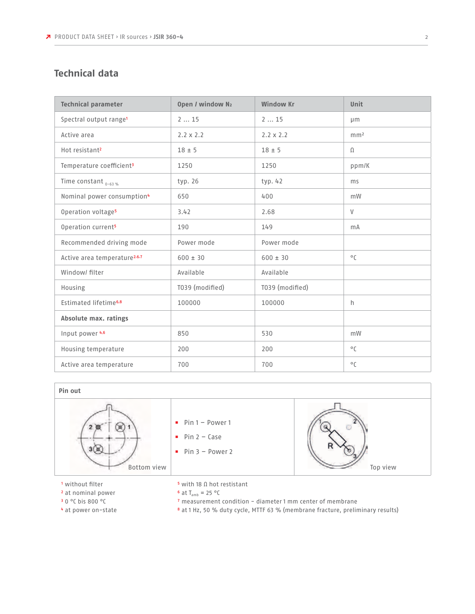# **Technical data**

| <b>Technical parameter</b>               | Open / window N2 | <b>Window Kr</b> | <b>Unit</b>     |  |  |
|------------------------------------------|------------------|------------------|-----------------|--|--|
| Spectral output range <sup>1</sup>       | 215              | 215              | µm              |  |  |
| Active area                              | $2.2 \times 2.2$ | $2.2 \times 2.2$ | mm <sup>2</sup> |  |  |
| Hot resistant <sup>2</sup>               | $18 \pm 5$       | $18 + 5$         | $\Omega$        |  |  |
| Temperature coefficient <sup>3</sup>     | 1250             | 1250             | ppm/K           |  |  |
| Time constant $_{0-63\%}$                | typ. 26          | typ. $42$        | ms              |  |  |
| Nominal power consumption <sup>4</sup>   | 650              | 400              | mW              |  |  |
| Operation voltage <sup>5</sup>           | 3.42             | 2.68             | $\vee$          |  |  |
| Operation current <sup>5</sup>           | 190              | 149              | mA              |  |  |
| Recommended driving mode                 | Power mode       | Power mode       |                 |  |  |
| Active area temperature <sup>2,6,7</sup> | $600 \pm 30$     | $600 \pm 30$     | $^{\circ}$ C    |  |  |
| Window/ filter                           | Available        | Available        |                 |  |  |
| Housing                                  | T039 (modified)  | T039 (modified)  |                 |  |  |
| Estimated lifetime <sup>6,8</sup>        | 100000           | 100000           | h               |  |  |
| Absolute max. ratings                    |                  |                  |                 |  |  |
| Input power 4.6                          | 850              | 530              | mW              |  |  |
| Housing temperature                      | 200              | 200              | $^{\circ}$ C    |  |  |
| Active area temperature                  | 700              | 700              | $^{\circ}$ C    |  |  |



<sup>1</sup> without filter

- 2 at nominal power
- 3 0 °C bis 800 °C
- 4 at power on-state
- 5 with 18 Ω hot restistant
- $6$  at T<sub>amb</sub> = 25 °C
- 7 measurement condition diameter 1 mm center of membrane
- 8 at 1 Hz, 50 % duty cycle, MTTF 63 % (membrane fracture, preliminary results)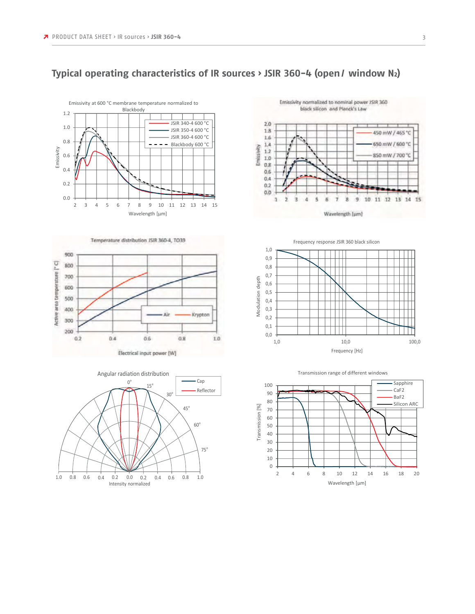

## **Typical operating characteristics of IR sources › JSIR 360-4 (open/ window N2)**











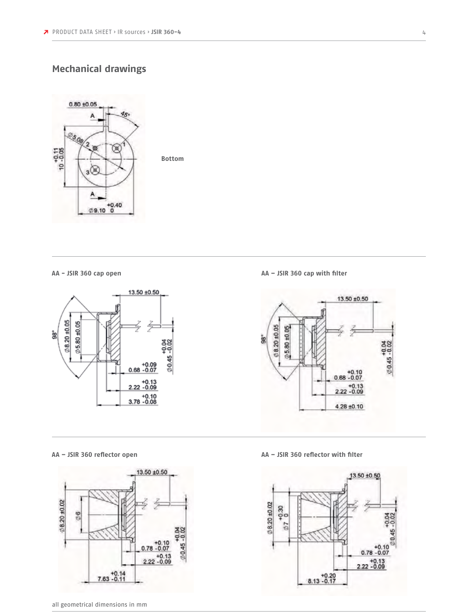## **Mechanical drawings**



**Bottom**

**AA - JSIR 360 cap open**





**AA – JSIR 360 cap with filter**



**AA – JSIR 360 reflector open AA – JSIR 360 reflector with filter**